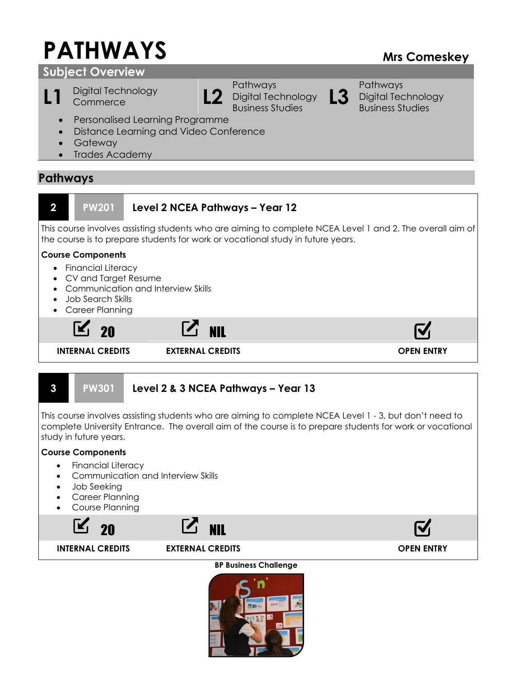# **PATHWAYS Mrs Comeskey**

# **Subject Overview**

L1 Digital Technology **L2** 



Pathways Digital Technology Business Studies **L3**

Pathways Digital Technology Business Studies

- Personalised Learning Programme
- Distance Learning and Video Conference
- Gateway
- Trades Academy

# **Pathways**



This course involves assisting students who are aiming to complete NCEA Level 1 - 3, but don't need to complete University Entrance. The overall aim of the course is to prepare students for work or vocational study in future years.

# **Course Components**

- Financial Literacy
- Communication and Interview Skills
- Job Seeking
- Career Planning
- Course Planning



# **BP Business Challenge**

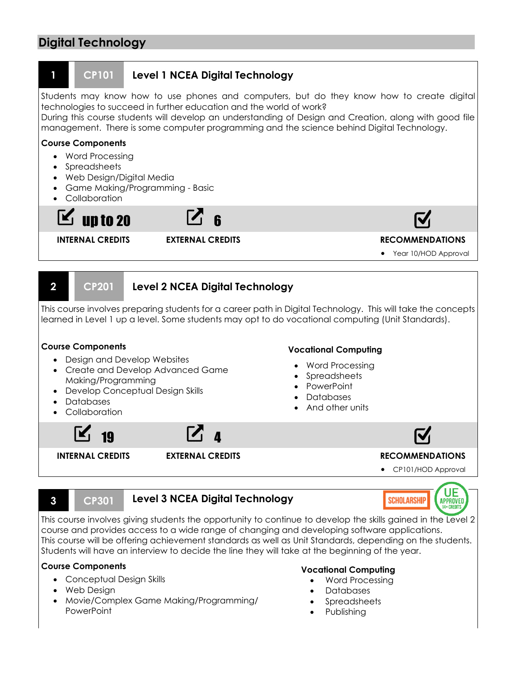# **Digital Technology**



This course involves giving students the opportunity to continue to develop the skills gained in the Level 2 course and provides access to a wide range of changing and developing software applications. This course will be offering achievement standards as well as Unit Standards, depending on the students. Students will have an interview to decide the line they will take at the beginning of the year.

#### **Course Components**

- Conceptual Design Skills
- Web Design
- Movie/Complex Game Making/Programming/ PowerPoint

#### **Vocational Computing**

- Word Processing
- Databases
- Spreadsheets
- Publishing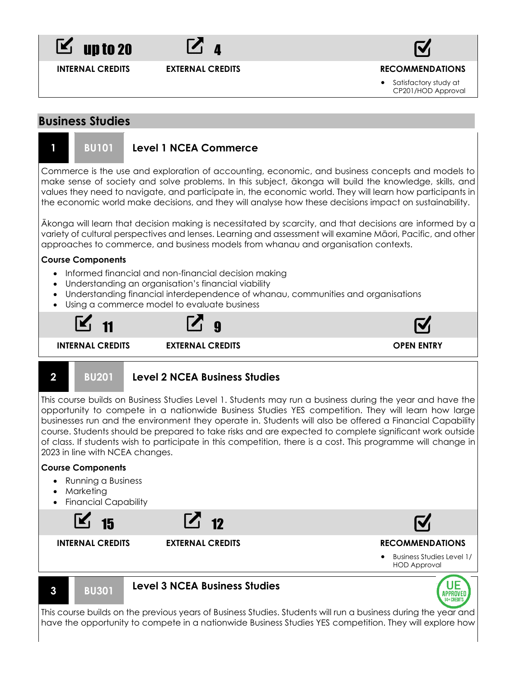



**INTERNAL CREDITS EXTERNAL CREDITS RECOMMENDATIONS**

• Satisfactory study at CP201/HOD Approval

# **Business Studies**



Commerce is the use and exploration of accounting, economic, and business concepts and models to make sense of society and solve problems. In this subject, ākonga will build the knowledge, skills, and values they need to navigate, and participate in, the economic world. They will learn how participants in the economic world make decisions, and they will analyse how these decisions impact on sustainability.

Ākonga will learn that decision making is necessitated by scarcity, and that decisions are informed by a variety of cultural perspectives and lenses. Learning and assessment will examine Māori, Pacific, and other approaches to commerce, and business models from whanau and organisation contexts.

#### **Course Components**

- Informed financial and non-financial decision making
- Understanding an organisation's financial viability
- Understanding financial interdependence of whanau, communities and organisations
- Using a commerce model to evaluate business



### **2 BU201 Level 2 NCEA Business Studies**

This course builds on Business Studies Level 1. Students may run a business during the year and have the opportunity to compete in a nationwide Business Studies YES competition. They will learn how large businesses run and the environment they operate in. Students will also be offered a Financial Capability course. Students should be prepared to take risks and are expected to complete significant work outside of class. If students wish to participate in this competition, there is a cost. This programme will change in 2023 in line with NCEA changes.

### **Course Components**

- Running a Business
- Marketing
- Financial Capability







This course builds on the previous years of Business Studies. Students will run a business during the year and have the opportunity to compete in a nationwide Business Studies YES competition. They will explore how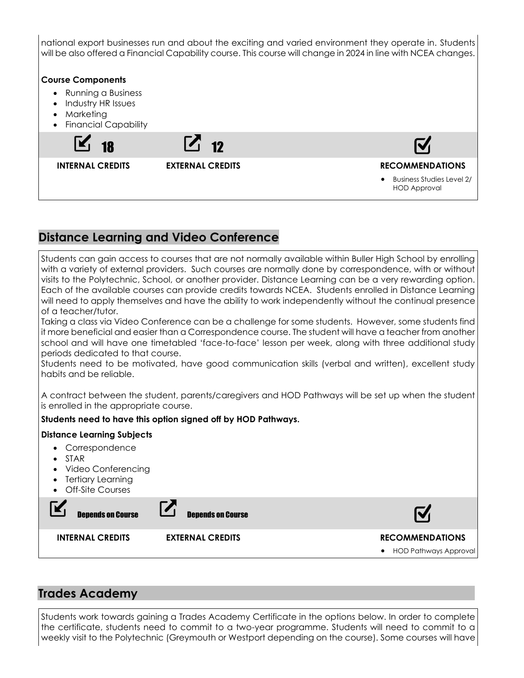national export businesses run and about the exciting and varied environment they operate in. Students will be also offered a Financial Capability course. This course will change in 2024 in line with NCEA changes. **Course Components** • Running a Business • Industry HR Issues • Marketing • Financial Capability  $\begin{bmatrix} 7 & 12 \end{bmatrix}$ **INTERNAL CREDITS EXTERNAL CREDITS RECOMMENDATIONS** • Business Studies Level 2/ HOD Approval

# **Distance Learning and Video Conference**

Students can gain access to courses that are not normally available within Buller High School by enrolling with a variety of external providers. Such courses are normally done by correspondence, with or without visits to the Polytechnic, School, or another provider. Distance Learning can be a very rewarding option. Each of the available courses can provide credits towards NCEA. Students enrolled in Distance Learning will need to apply themselves and have the ability to work independently without the continual presence of a teacher/tutor.

Taking a class via Video Conference can be a challenge for some students. However, some students find it more beneficial and easier than a Correspondence course. The student will have a teacher from another school and will have one timetabled 'face-to-face' lesson per week, along with three additional study periods dedicated to that course.

Students need to be motivated, have good communication skills (verbal and written), excellent study habits and be reliable.

A contract between the student, parents/caregivers and HOD Pathways will be set up when the student is enrolled in the appropriate course.

# **Students need to have this option signed off by HOD Pathways.**

### **Distance Learning Subjects**

- Correspondence
- STAR
- Video Conferencing
- Tertiary Learning
- Off-Site Courses

| <b>Depends on Course</b> | <b>Depends on Course</b> |                         |
|--------------------------|--------------------------|-------------------------|
| <b>INTERNAL CREDITS</b>  | <b>EXTERNAL CREDITS</b>  | <b>RECOMMENDATIONS</b>  |
|                          |                          | • HOD Pathways Approval |
|                          |                          |                         |

# **Trades Academy**

Students work towards gaining a Trades Academy Certificate in the options below. In order to complete the certificate, students need to commit to a two-year programme. Students will need to commit to a weekly visit to the Polytechnic (Greymouth or Westport depending on the course). Some courses will have